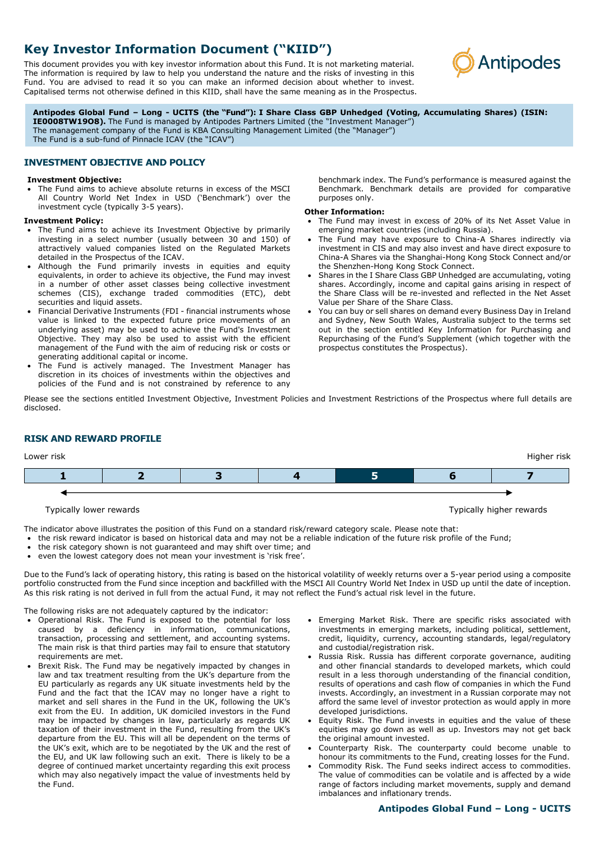# **Key Investor Information Document ("KIID")**

This document provides you with key investor information about this Fund. It is not marketing material. The information is required by law to help you understand the nature and the risks of investing in this Fund. You are advised to read it so you can make an informed decision about whether to invest. Capitalised terms not otherwise defined in this KIID, shall have the same meaning as in the Prospectus.



**Antipodes Global Fund – Long - UCITS (the "Fund"): I Share Class GBP Unhedged (Voting, Accumulating Shares) (ISIN: IE0008TW19O8).** The Fund is managed by Antipodes Partners Limited (the "Investment Manager")

The management company of the Fund is KBA Consulting Management Limited (the "Manager") The Fund is a sub-fund of Pinnacle ICAV (the "ICAV")

## **INVESTMENT OBJECTIVE AND POLICY**

#### **Investment Objective:**

The Fund aims to achieve absolute returns in excess of the MSCI All Country World Net Index in USD ('Benchmark') over the investment cycle (typically 3-5 years).

#### **Investment Policy:**

- The Fund aims to achieve its Investment Objective by primarily investing in a select number (usually between 30 and 150) of attractively valued companies listed on the Regulated Markets detailed in the Prospectus of the ICAV.
- Although the Fund primarily invests in equities and equity equivalents, in order to achieve its objective, the Fund may invest in a number of other asset classes being collective investment schemes (CIS), exchange traded commodities (ETC), debt securities and liquid assets.
- Financial Derivative Instruments (FDI financial instruments whose value is linked to the expected future price movements of an underlying asset) may be used to achieve the Fund's Investment Objective. They may also be used to assist with the efficient management of the Fund with the aim of reducing risk or costs or generating additional capital or income.
- The Fund is actively managed. The Investment Manager has discretion in its choices of investments within the objectives and policies of the Fund and is not constrained by reference to any

benchmark index. The Fund's performance is measured against the Benchmark. Benchmark details are provided for comparative purposes only.

#### **Other Information:**

- The Fund may invest in excess of 20% of its Net Asset Value in emerging market countries (including Russia).
- The Fund may have exposure to China-A Shares indirectly via investment in CIS and may also invest and have direct exposure to China-A Shares via the Shanghai-Hong Kong Stock Connect and/or the Shenzhen-Hong Kong Stock Connect.
- Shares in the I Share Class GBP Unhedged are accumulating, voting shares. Accordingly, income and capital gains arising in respect of the Share Class will be re-invested and reflected in the Net Asset Value per Share of the Share Class.
- You can buy or sell shares on demand every Business Day in Ireland and Sydney, New South Wales, Australia subject to the terms set out in the section entitled Key Information for Purchasing and Repurchasing of the Fund's Supplement (which together with the prospectus constitutes the Prospectus).

Please see the sections entitled Investment Objective, Investment Policies and Investment Restrictions of the Prospectus where full details are disclosed.

## **RISK AND REWARD PROFILE**



Typically lower rewards Typically higher rewards

The indicator above illustrates the position of this Fund on a standard risk/reward category scale. Please note that:

- the risk reward indicator is based on historical data and may not be a reliable indication of the future risk profile of the Fund;
- the risk category shown is not guaranteed and may shift over time; and
- even the lowest category does not mean your investment is 'risk free'.

Due to the Fund's lack of operating history, this rating is based on the historical volatility of weekly returns over a 5-year period using a composite portfolio constructed from the Fund since inception and backfilled with the MSCI All Country World Net Index in USD up until the date of inception. As this risk rating is not derived in full from the actual Fund, it may not reflect the Fund's actual risk level in the future.

The following risks are not adequately captured by the indicator:

- Operational Risk. The Fund is exposed to the potential for loss caused by a deficiency in information, communications, transaction, processing and settlement, and accounting systems. The main risk is that third parties may fail to ensure that statutory requirements are met.
- Brexit Risk. The Fund may be negatively impacted by changes in law and tax treatment resulting from the UK's departure from the EU particularly as regards any UK situate investments held by the Fund and the fact that the ICAV may no longer have a right to market and sell shares in the Fund in the UK, following the UK's exit from the EU. In addition, UK domiciled investors in the Fund may be impacted by changes in law, particularly as regards UK taxation of their investment in the Fund, resulting from the UK's departure from the EU. This will all be dependent on the terms of the UK's exit, which are to be negotiated by the UK and the rest of the EU, and UK law following such an exit. There is likely to be a degree of continued market uncertainty regarding this exit process which may also negatively impact the value of investments held by the Fund.
- Emerging Market Risk. There are specific risks associated with investments in emerging markets, including political, settlement, credit, liquidity, currency, accounting standards, legal/regulatory and custodial/registration risk.
- Russia Risk. Russia has different corporate governance, auditing and other financial standards to developed markets, which could result in a less thorough understanding of the financial condition, results of operations and cash flow of companies in which the Fund invests. Accordingly, an investment in a Russian corporate may not afford the same level of investor protection as would apply in more developed jurisdictions.
- Equity Risk. The Fund invests in equities and the value of these equities may go down as well as up. Investors may not get back the original amount invested.
- Counterparty Risk. The counterparty could become unable to honour its commitments to the Fund, creating losses for the Fund.
- Commodity Risk. The Fund seeks indirect access to commodities. The value of commodities can be volatile and is affected by a wide range of factors including market movements, supply and demand imbalances and inflationary trends.